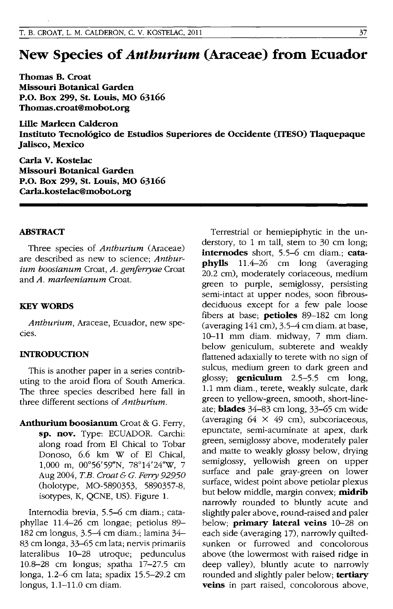# **New Species of** *Anthurium* **(Araceae) from Ecuador**

Thomas B. Croat Missouri Botanical Garden P.O. Box 299, St. Louis, MO 63166 Thomas.croat@mobot.org

Lille Marleen Calderon Instituto Tecnologico de Estudios Superiores de Occidente (ITESO) Tlaquepaque Jalisco, Mexico

Carla V. Kostelac Missouri Botanical Garden P.o. Box 299, St. Louis, MO 63166 Carla.kostelac@mobot.org

#### ABSTRACT

Three species of *Anthurium* (Araceae) are described as new to science; *Anthurium boosianum* Croat, *A. genfenyae* Croat and *A. marleenianum* Croat.

### **KEY WORDS**

*Anthurium,* Araeeae, Ecuador, new species.

## INTRODUCTION

This is another paper in a series contributing to the aroid flora of South America. The three species described here fall in three different sections of *Anthurium.* 

Anthurium boosianum Croat & G. Ferry, sp. nov. Type: ECUADOR. Carehi: along road from EI Chical to Tobar Donoso, 6.6 km W of EI Chical, 1,000 m, 00°56'59"N, 78°14'24"W, 7 Aug 2004, *T.B. Croat* & *C. Feny 92950*  (holotype, MO-5890353, 5890357-8, isotypes, K, QCNE, US). Figure 1.

Intemodia brevia, 5.5-6 em diam.; eataphyllae 11.4-26 em longae; petiolus 89- 182 em longus, 3.5-4 em diam.; lamina 34- 83 em longa, 33-65 em lata; nervis primariis lateralibus 10-28 utroque; pedunculus 10.8--28 em longus; spatha 17-27.5 em longa, 1.2-6 em lata; spadix 15.5-29.2 em longus, 1.1-11.0 em diam.

Terrestrial or hemiepiphytie in the understory, to 1 m tall, stem to 30 em long; **internodes** short, 5.5–6 cm diam.; **cata-**<br>**phylls**  $11.4-26$  cm long (averaging 11.4-26 cm long (averaging 20.2 em), moderately eoriaeeous, medium green to purple, semiglossy, persisting semi-intact at upper nodes, soon fibrousdeciduous except for a few pale loose fibers at base; **petioles**  $89-182$  cm long (averaging 141 em), 3.5-4 em diam. at base, 10-11 mm diam. midway, 7 mm diam. below geniculum, subterete and weakly flattened adaxially to terete with no sign of sulcus, medium green to dark green and glossy; geniculum 2.5-5.5 em long, 1.1 mm diam., terete, weakly sulcate, dark green to yellow-green, smooth, short-lineate; blades 34-83 em long, 33-65 em wide (averaging  $64 \times 49$  cm), subcoriaceous, epunetate, semi-acuminate at apex, dark green, semiglossy above, moderately paler and matte to weakly glossy below, drying semiglossy, yellowish green on upper surface and pale gray-green on lower surface, widest point above petiolar plexus but below middle, margin convex; midrib narrowly rounded to bluntly acute and slightly paler above, round-raised and paler below; primary lateral veins 10-28 on each side (averaging 17), narrowly quiltedsunken or furrowed and eoneolorous above (the lowermost with raised ridge in deep valley), bluntly acute to narrowly rounded and slightly paler below; tertiary veins in part raised, concolorous above,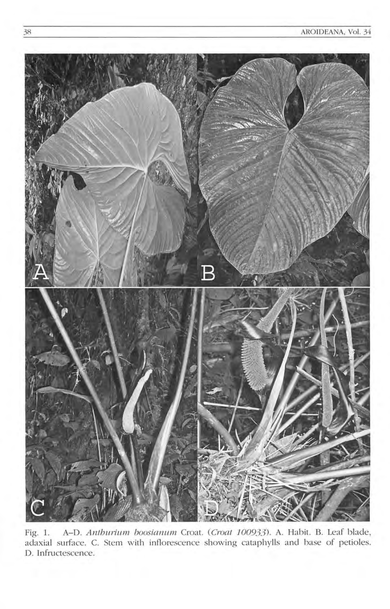

A-D. Anthurium boosianum Croat. (Croat 100933). A. Habit. B. Leaf blade, Fig. 1. adaxial surface. C. Stem with inflorescence showing cataphylls and base of petioles. D. Infructescence.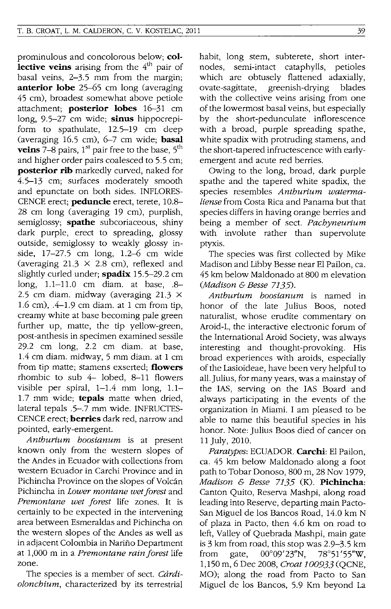prominulous and concolorous below; **collective veins** arising from the 4<sup>th</sup> pair of basal veins, 2-3.5 mm from the margin; **anterior lobe** 25-65 cm long (averaging 45 cm), broadest somewhat above petiole attachment; **posterior lobes** 16-31 cm long, 9.5-27 cm wide; **sinus** hippocrepiform to spathulate, 12.5-19 cm deep (averaging 16.5 cm), 6-7 cm wide; **basal**  veins 7-8 pairs, 1<sup>st</sup> pair free to the base, 5<sup>th</sup> and higher order pairs coalesced to 5.5 cm; **posterior rib** markedly curved, naked for 4.5-13 cm; surfaces moderately smooth and epunctate on both sides. INFLORES-CENCE erect; **peduncle** erect, terete, 10.8- 28 cm long (averaging 19 cm), purplish, semiglossy; **spathe** subcoriaceous, shiny dark purple, erect to spreading, glossy outside, semiglossy to weakly glossy inside, 17-27.5 cm long, 1.2-6 cm wide (averaging  $21.3 \times 2.8$  cm), reflexed and slightly curled under; **spadix** 15.5-29.2 cm long, 1.1-11.0 cm diam. at base, .8- 2.5 cm diam. midway (averaging 21.3  $\times$ 1.6 cm), .4-1.9 cm diam. at 1 cm from tip, creamy white at base becoming pale green further up, matte, the tip yellow-green, post-anthesis in specimen examined sessile 29.2 cm long, 2.2 cm diam. at base, 1.4 cm diam. midway, 5 mm diam. at 1 cm from tip matte; stamens exserted; **flowers**  rhombic to sub  $4-$  lobed, 8-11 flowers visible per spiral, 1-1.4 mm long, 1.1- 1.7 mm wide; **tepals** matte when dried, lateral tepals .5-.7 mm wide. INFRUCTES-CENCE erect; **berries** dark red, narrow and pOinted, early-emergent.

*Anthurium boosianum* is at present known only from the western slopes of the Andes in Ecuador with collections from western Ecuador in Carchi Province and in Pichincha Province on the slopes of Volcán Pichincha in *Lower montane wet forest* and *Premontane wet forest* life zones. It is certainly to be expected in the intervening area between Esmeraldas and Pichincha on the western slopes of the Andes as well as in adjacent Colombia in Nariño Department at 1,000 m in a *Premontane rainforest* life zone.

The species is a member of sect. *Cardiolonchium,* characterized by its terrestrial habit, long stem, subterete, short internodes, semi-intact cataphylls, petioles which are obtusely flattened adaxially, ovate-sagittate, greenish-drying blades with the collective veins arising from one of the lowermost basal veins, but especially by the short-pedunculate inflorescence with a broad, purple spreading spathe, white spadix with protruding stamens, and the short-tapered infructescence with earlyemergent and acute red berries.

Owing to the long, broad, dark purple spathe and the tapered white spadix, the species resembles *Anthurium watermaliense* from Costa Rica and Panama but that species differs in having orange berries and being a member of sect. *Pachyneurium*  with involute rather than supervolute ptyxis.

The species was first collected by Mike Madison and Libby Besse near EI Pailon, ca. 45 km below Maldonado at 800 m elevation *(Madison* & *Besse 7135).* 

*Anthurium boosianum* is named in honor of the late Julius Boos, noted naturalist, whose erudite commentary on Aroid-L, the interactive electronic forum of the International Aroid Society, was always interesting and thought-provoking. His broad experiences with aroids, especially of the Lasioideae, have been very helpful to all. Julius, for many years, was a mainstay of the lAS, serving on the lAS Board and always participating in the events of the organization in Miami. I am pleased to be able to name this beautiful species in his honor. Note: Julius Boos died of cancer on 11 July, 2010.

*Paratypes:* ECUADOR. **Carchi:** El Pailon, ca. 45 km below Maldonado along a foot path to Tobar Donoso, 800 m, 28 Nov 1979, *Madison* & *Besse* 7135 (K). **Pichincha:**  Canton Quito, Reserva Mashpi, along road leading into Reserve, departing main Pacto-San Miguel de los Bancos Road, 14.0 km N of plaza in Pacto, then 4.6 km on road to left, Valley of Quebrada Mashpi, main gate is 3 km from road, this stop was 2.9-3.5 km from gate, 00°09' 23"N, 78°51'55''W, 1,150 m, 6 Dec 2008, *Croat 100933* (QCNE, MO); along the road from Pacto to San Miguel de los Bancos, 5.9 Km beyond La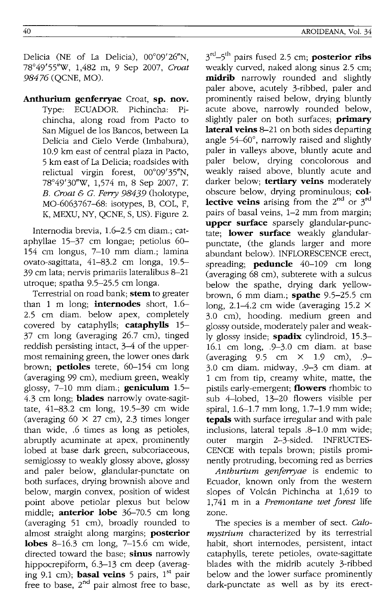Delicia (NE of La Delicia), 00°09'26"N. 78°49' 55''W, 1,482 m, 9 Sep 2007, *Croat*  98476 (QCNE, MO).

**Anthurium genferryae** Croat, **sp. nov.**  Type: ECUADOR. Pichincha: Pichincha, along road from Pacto to San Miguel de los Bancos, between La Delicia and Cielo Verde CImbabura), 10.9 km east of central plaza in Pacta, 5 km east of La Delicia; roadsides with relictual virgin forest,  $00^{\circ}09'35''N$ , 78°49'30"W, 1,574 m, 8 Sep 2007, T. *B. Croat* & *C. Ferry* 98439 (holotype, MO-6063767-68: isotypes, B, COL, F, K, MEXU, NY, QCNE, S, US). Figure 2.

Internodia brevia, 1.6-2.5 cm diam.; cataphyllae 15-37 cm longae; petiolus 60- 154 cm longus, 7-10 mm diam.; lamina ovato-sagittata, 41-83.2 cm longa, 19.5- 39 cm lata; nervis primariis lateralibus 8-21 utroque; spatha 9.5-25.5 cm longa.

Terrestrial on road bank; **stem** to greater than 1 m long; **internodes** short, 1.6- 2.5 cm diam. below apex, completely covered by cataphylls; **cataphylls** 15- 37 cm long (averaging 26.7 cm), tinged reddish persisting intact, 3-4 of the uppermost remaining green, the lower ones dark brown; **petioles** terete, 60-154 cm long (averaging 99 cm), medium green, weakly glossy, 7-10 mm diam.; **geniculum** 1.5- 4.3 cm long; **blades** narrowly ovate-sagittate, 41-83.2 cm long, 19.5-39 cm wide (averaging  $60 \times 27$  cm), 2.3 times longer than wide, .6 times as long as petioles, abruptly acuminate at apex, prominently lobed at base dark green, subcoriaceous, semiglossy to weakly glossy above, glossy and paler below, glandular-punctate on both surfaces, drying brownish above and below, margin convex, position of widest point above petiolar plexus but below middle; **anterior lobe** 36-70.5 cm long (averaging 51 cm), broadly rounded to almost straight along margins; **posterior lobes** 8-16.3 cm long, 7-15.6 cm wide, directed toward the base; **sinus** narrowly hippocrepiform, 6.3-13 cm deep (averaging 9.1 cm); **basal veins** 5 pairs, 1<sup>st</sup> pair free to base,  $2<sup>nd</sup>$  pair almost free to base,

3"1\_5th pairs fused 2.5 cm; **posterior ribs**  weakly curved, naked along sinus 2.5 cm; **midrib** narrowly rounded and slightly paler above, acutely 3-ribbed, paler and prominently raised below, drying bluntly acute above, narrowly rounded below, slightly paler on both surfaces; **primary lateral veins** 8-21 on both sides departing angle 54-60°, narrowly raised and slightly paler in valleys above, bluntly acute and paler below, drying concolorous and weakly raised above, bluntly acute and darker below; **tertiary veins** moderately obscure below, drying prominulous; **collective veins** arising from the 2<sup>nd</sup> or 3<sup>rd</sup> pairs of basal veins, 1-2 mm from margin; **upper surface** sparsely glandular-punctate; **lower surface** weakly glandularpunctate, (the glands larger and more abundant below). INFLORESCENCE erect, spreading; **peduncle** 40-109 cm long (averaging 68 cm), subterete with a sulcus below the spathe, drying dark yellowbrown, 6 mm diam.; **spathe** 9.5-25.5 cm long, 2.1-4.2 cm wide (averaging 15.2 X 3.0 cm), hooding. medium green and glossy outside, moderately paler and weakly glossy inside; **spadix** cylindroid, 15.3-16.1 cm long, .9-3.0 cm diam. at base (averaging  $9.5 \text{ cm} \times 1.9 \text{ cm}$ ), .9-3.0 cm diam. midway, .9-3 cm diam. at 1 cm from tip, creamy white, matte, the pistils early-emergent; **flowers** rhombic to sub 4-lobed, 13-20 flowers visible per spiral, 1.6-1.7 mm long, 1.7-1.9 mm wide; **tepals** with surface irregular and with pale inclusions, lateral tepals .8-1.0 mm wide; outer margin 2-3-sided. INFRUCTES-CENCE with tepals brown; pistils prominently protruding, becoming red as berries

*Anthurium genferryae* is endemic to Ecuador, known only from the western slopes of Volcan Pichincha at 1,619 to 1,741 m in a *Premontane wet forest* life zone.

The species is a member of sect. *Calomystrium* characterized by its terrestrial habit, short internodes, persistent, intact cataphylls, terete petioles, ovate-sagittate blades with the midrib acutely 3-ribbed below and the lower surface prominently dark-punctate as well as by its erect-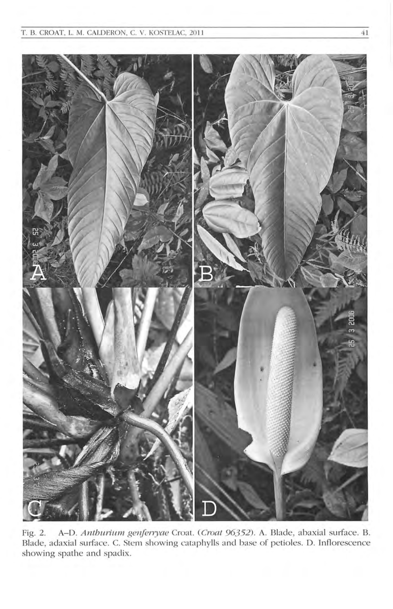

A-D. Anthurium genferryae Croat. (Croat 96352). A. Blade, abaxial surface. B. Fig. 2. Blade, adaxial surface. C. Stem showing cataphylls and base of petioles. D. Inflorescence showing spathe and spadix.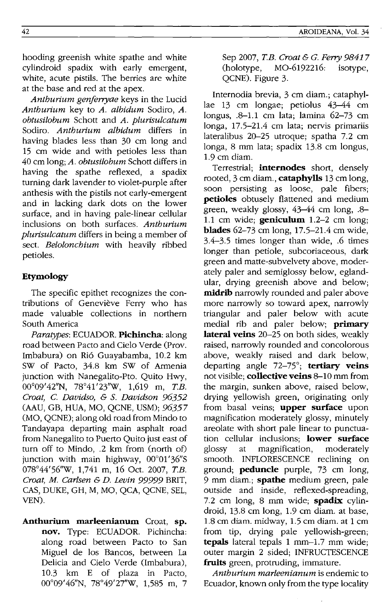hooding greenish white spathe and white cylindroid spadix with early emergent, white, acute pistils. The berries are white at the base and red at the apex.

*Anthurium genferryae* keys in the Lucid *Anthurium* key to *A. albidum* Sodiro, *A. obtusilobum* Schott and *A. plurisulcatum*  Sodiro. *Anthurium albidum* differs in having blades less than 30 cm long and 15 cm wide and with petioles less than 40 cm long; *A. obtusilobum* Schott differs in having the spathe reflexed, a spadix turning dark lavender to violet-purple after anthesis with the pistils not early-emergent and in lacking dark dots on the lower surface, and in having pale-linear cellular inclusions on both surfaces. *Anthurium plurisulcatum* differs in being a member of sect. *Belolonchium* with heavily ribbed petioles.

## **Etymology**

The specific epithet recognizes the contributions of Geneviève Ferry who has made valuable collections in northern South America

*Paratypes:* ECUADOR. **Pichincha:** along road between Pacto and Cielo Verde (Prov. Imbabura) on Ri6 Guayabamba, 10.2 km SW of Pacto, 34.8 km SW of Armenia junction with Nanegalito-Pto. Quito Hwy, 00009'42"N, 78°41'23''W, 1,619 m, *T.B. Croat,* C. *Davidso,* & S. *Davidson 96352*  (AAU, GB, HUA, MO, QCNE, USM); 96357 (MO, QCNE); along old road from Mindo to Tandayapa departing main asphalt road from Nanegalito to Puerto Quito just east of turn off to Mindo, .2 km from (north of) junction with main highway,  $00^{\circ}01'36''S$ 078°44' 56"w, 1,741 m, 16 Oct. 2007, *T.B. Croat, M. Carlsen* & *D. Levin* 99999 BRIT, CAS, DUKE, GH, M, MO, QCA, QCNE, SEL, YEN).

**Anthurium marleenianum** Croat, **sp. nov.** Type: ECUADOR. Pichincha: along road between Pacto to San Miguel de los Bancos, between La Delicia and Cielo Verde (Imbabura), 10.3 km E of plaza in Pacto, 00009'46"N, 78°49'27"W, 1,585 m, 7

Sep 2007, *T.B. Croat* & G. *Ferry 98417*  (holotype, MO-6192216: isotype, QCNE). Figure 3.

Internodia brevia, 3 cm diam.; cataphyllae 13 cm longae; petiolus 43-44 cm longus, .8-1.1 cm lata; lamina 62-73 cm longa, 17.5-21.4 cm lata; nervis primariis lateralibus 20-25 utroque; spatha 7.2 cm longa, 8 mm lata; spadix 13.8 cm longus, 1.9 cm diam.

Terrestrial; **internodes** short, densely rooted, 3 cm diam., **cataphylls** 13 cmlong, soon persisting as loose, pale fibers; **petioles** obtusely flattened and medium green, weakly glossy, 43-44 cm long, .8- 1.1 cm wide; **geniculum** 1.2-2 cm long; **blades** 62-73 cm long, 17.5-21.4 cm wide, 3.4-3.5 times longer than wide, .6 times longer than petiole, subcoriaceous, dark green and matte-subvelvety above, moderately paler and semiglossy below, eglandular, drying greenish above and below; **midrib** narrowly rounded and paler above more narrowly so toward apex, narrowly triangular and paler below with acute medial rib and paler below; **primary lateral veins** 20-25 on both sides, weakly raised, narrowly rounded and concolorous above, weakly raised and dark below, departing angle 72-75°; **tertiary veins**  not visible; **collective veins** 8-10 mm from the margin, sunken above, raised below, drying yellowish green, originating only from basal veins; **upper surface** upon magnification moderately glossy, minutely areolate with short pale linear to punctuation cellular inclusions; **lower surface**  glossy at magnification, moderately smooth. INFLORESCENCE reclining on ground; **peduncle** purple, 73 cm long, 9 mm diam.; **spathe** medium green, pale outside and inside, reflexed-spreading, 7.2 cm long, 8 mm wide; **spadix** cylindroid, 13.8 cm long, 1.9 cm diam. at base, 1.8 cm diam. midway, 1.5 cm diam. at 1 cm from tip, drying pale yellowish-green; tepals lateral tepals 1 mm-1.7 mm wide; outer margin 2 sided; INFRUCTESCENCE **fruits** green, protruding, immature.

*Anthurium marleenianum* is endemic to Ecuador, known only from the type locality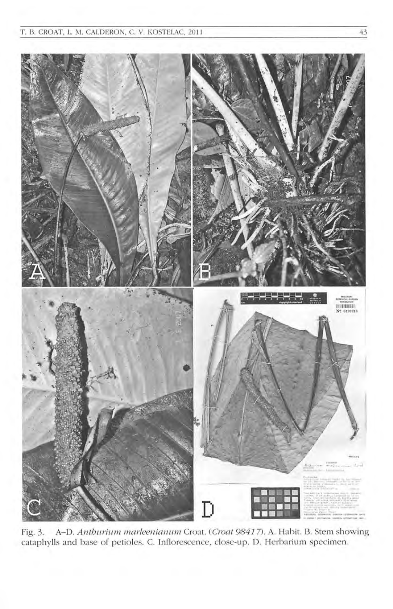

A-D. Anthurium marleenianum Croat. (Croat 98417). A. Habit. B. Stem showing Fig. 3. cataphylls and base of petioles. C. Inflorescence, close-up. D. Herbarium specimen.